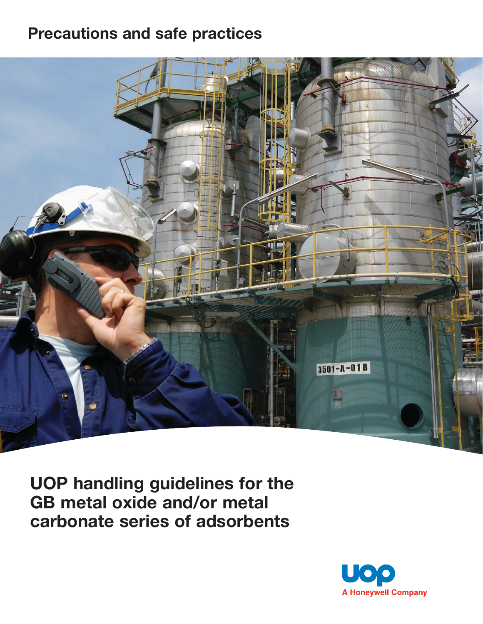# **Precautions and safe practices**



**UOP handling guidelines for the GB metal oxide and/or metal carbonate series of adsorbents** 

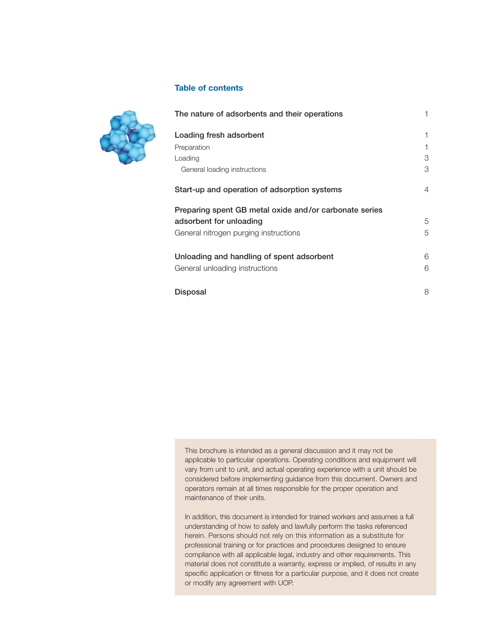### **Table of contents**



| The nature of adsorbents and their operations          | 1              |
|--------------------------------------------------------|----------------|
| Loading fresh adsorbent                                | 1              |
| Preparation                                            |                |
| Loading                                                | 3              |
| General loading instructions                           | 3              |
| Start-up and operation of adsorption systems           | $\overline{4}$ |
| Preparing spent GB metal oxide and/or carbonate series |                |
| adsorbent for unloading                                | 5              |
| General nitrogen purging instructions                  | 5              |
| Unloading and handling of spent adsorbent              | 6              |
| General unloading instructions                         | 6              |
| Disposal                                               | 8              |

This brochure is intended as a general discussion and it may not be applicable to particular operations. Operating conditions and equipment will vary from unit to unit, and actual operating experience with a unit should be considered before implementing guidance from this document. Owners and operators remain at all times responsible for the proper operation and maintenance of their units.

In addition, this document is intended for trained workers and assumes a full understanding of how to safely and lawfully perform the tasks referenced herein. Persons should not rely on this information as a substitute for professional training or for practices and procedures designed to ensure compliance with all applicable legal, industry and other requirements. This material does not constitute a warranty, express or implied, of results in any specific application or fitness for a particular purpose, and it does not create or modify any agreement with UOP.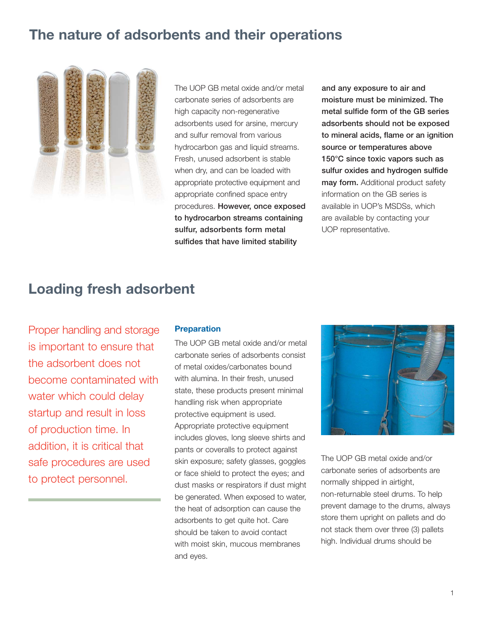## **The nature of adsorbents and their operations**



The UOP GB metal oxide and/or metal carbonate series of adsorbents are high capacity non-regenerative adsorbents used for arsine, mercury and sulfur removal from various hydrocarbon gas and liquid streams. Fresh, unused adsorbent is stable when dry, and can be loaded with appropriate protective equipment and appropriate confined space entry procedures. **However, once exposed to hydrocarbon streams containing sulfur, adsorbents form metal sulfides that have limited stability**

**and any exposure to air and moisture must be minimized. The metal sulfide form of the GB series adsorbents should not be exposed to mineral acids, flame or an ignition source or temperatures above 150°C since toxic vapors such as sulfur oxides and hydrogen sulfide may form.** Additional product safety information on the GB series is available in UOP's MSDSs, which are available by contacting your UOP representative.

## **Loading fresh adsorbent**

Proper handling and storage is important to ensure that the adsorbent does not become contaminated with water which could delay startup and result in loss of production time. In addition, it is critical that safe procedures are used to protect personnel.

### **Preparation**

The UOP GB metal oxide and/or metal carbonate series of adsorbents consist of metal oxides/carbonates bound with alumina. In their fresh, unused state, these products present minimal handling risk when appropriate protective equipment is used. Appropriate protective equipment includes gloves, long sleeve shirts and pants or coveralls to protect against skin exposure; safety glasses, goggles or face shield to protect the eyes; and dust masks or respirators if dust might be generated. When exposed to water, the heat of adsorption can cause the adsorbents to get quite hot. Care should be taken to avoid contact with moist skin, mucous membranes and eyes.



The UOP GB metal oxide and/or carbonate series of adsorbents are normally shipped in airtight, non-returnable steel drums. To help prevent damage to the drums, always store them upright on pallets and do not stack them over three (3) pallets high. Individual drums should be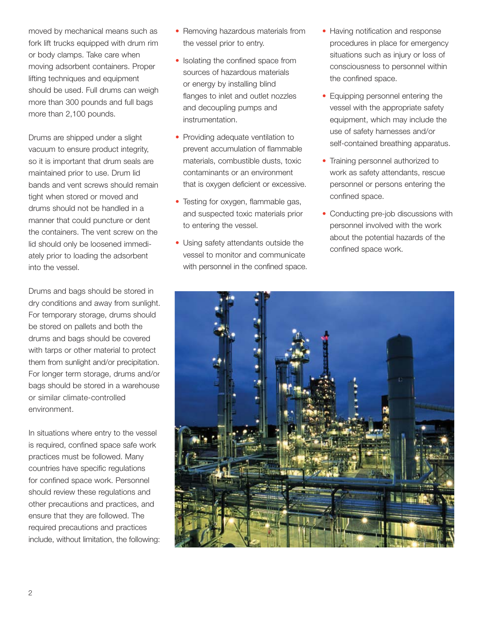moved by mechanical means such as fork lift trucks equipped with drum rim or body clamps. Take care when moving adsorbent containers. Proper lifting techniques and equipment should be used. Full drums can weigh more than 300 pounds and full bags more than 2,100 pounds.

Drums are shipped under a slight vacuum to ensure product integrity, so it is important that drum seals are maintained prior to use. Drum lid bands and vent screws should remain tight when stored or moved and drums should not be handled in a manner that could puncture or dent the containers. The vent screw on the lid should only be loosened immediately prior to loading the adsorbent into the vessel.

Drums and bags should be stored in dry conditions and away from sunlight. For temporary storage, drums should be stored on pallets and both the drums and bags should be covered with tarps or other material to protect them from sunlight and/or precipitation. For longer term storage, drums and/or bags should be stored in a warehouse or similar climate-controlled environment.

In situations where entry to the vessel is required, confined space safe work practices must be followed. Many countries have specific regulations for confined space work. Personnel should review these regulations and other precautions and practices, and ensure that they are followed. The required precautions and practices include, without limitation, the following:

- Removing hazardous materials from the vessel prior to entry.
- Isolating the confined space from sources of hazardous materials or energy by installing blind flanges to inlet and outlet nozzles and decoupling pumps and instrumentation.
- Providing adequate ventilation to prevent accumulation of flammable materials, combustible dusts, toxic contaminants or an environment that is oxygen deficient or excessive.
- Testing for oxygen, flammable gas, and suspected toxic materials prior to entering the vessel.
- Using safety attendants outside the vessel to monitor and communicate with personnel in the confined space.
- Having notification and response procedures in place for emergency situations such as injury or loss of consciousness to personnel within the confined space.
- Equipping personnel entering the vessel with the appropriate safety equipment, which may include the use of safety harnesses and/or self-contained breathing apparatus.
- Training personnel authorized to work as safety attendants, rescue personnel or persons entering the confined space.
- Conducting pre-job discussions with personnel involved with the work about the potential hazards of the confined space work.

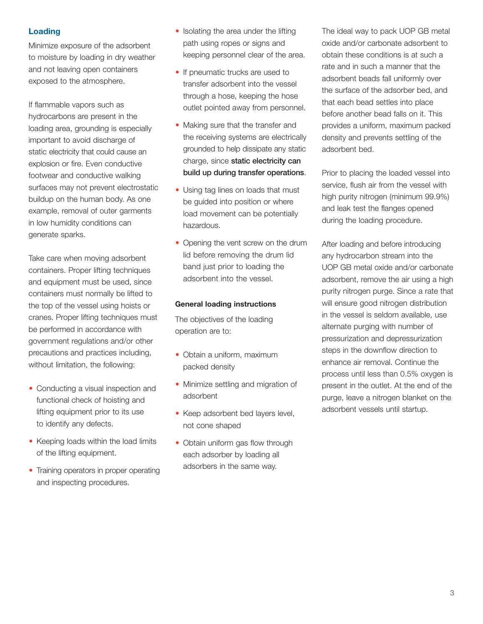### **Loading**

Minimize exposure of the adsorbent to moisture by loading in dry weather and not leaving open containers exposed to the atmosphere.

If flammable vapors such as hydrocarbons are present in the loading area, grounding is especially important to avoid discharge of static electricity that could cause an explosion or fire. Even conductive footwear and conductive walking surfaces may not prevent electrostatic buildup on the human body. As one example, removal of outer garments in low humidity conditions can generate sparks.

Take care when moving adsorbent containers. Proper lifting techniques and equipment must be used, since containers must normally be lifted to the top of the vessel using hoists or cranes. Proper lifting techniques must be performed in accordance with government regulations and/or other precautions and practices including, without limitation, the following:

- Conducting a visual inspection and functional check of hoisting and lifting equipment prior to its use to identify any defects.
- Keeping loads within the load limits of the lifting equipment.
- Training operators in proper operating and inspecting procedures.
- Isolating the area under the lifting path using ropes or signs and keeping personnel clear of the area.
- If pneumatic trucks are used to transfer adsorbent into the vessel through a hose, keeping the hose outlet pointed away from personnel.
- Making sure that the transfer and the receiving systems are electrically grounded to help dissipate any static charge, since **static electricity can build up during transfer operations**.
- Using tag lines on loads that must be guided into position or where load movement can be potentially hazardous.
- Opening the vent screw on the drum lid before removing the drum lid band just prior to loading the adsorbent into the vessel.

### **General loading instructions**

The objectives of the loading operation are to:

- Obtain a uniform, maximum packed density
- Minimize settling and migration of adsorbent
- Keep adsorbent bed layers level, not cone shaped
- Obtain uniform gas flow through each adsorber by loading all adsorbers in the same way.

The ideal way to pack UOP GB metal oxide and/or carbonate adsorbent to obtain these conditions is at such a rate and in such a manner that the adsorbent beads fall uniformly over the surface of the adsorber bed, and that each bead settles into place before another bead falls on it. This provides a uniform, maximum packed density and prevents settling of the adsorbent bed.

Prior to placing the loaded vessel into service, flush air from the vessel with high purity nitrogen (minimum 99.9%) and leak test the flanges opened during the loading procedure.

After loading and before introducing any hydrocarbon stream into the UOP GB metal oxide and/or carbonate adsorbent, remove the air using a high purity nitrogen purge. Since a rate that will ensure good nitrogen distribution in the vessel is seldom available, use alternate purging with number of pressurization and depressurization steps in the downflow direction to enhance air removal. Continue the process until less than 0.5% oxygen is present in the outlet. At the end of the purge, leave a nitrogen blanket on the adsorbent vessels until startup.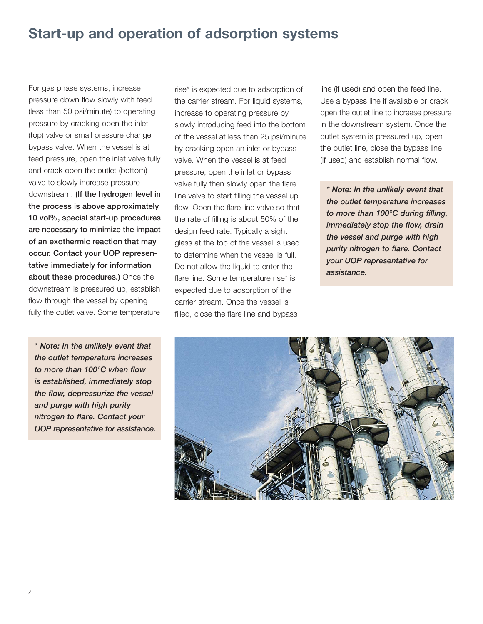## **Start-up and operation of adsorption systems**

For gas phase systems, increase pressure down flow slowly with feed (less than 50 psi/minute) to operating pressure by cracking open the inlet (top) valve or small pressure change bypass valve. When the vessel is at feed pressure, open the inlet valve fully and crack open the outlet (bottom) valve to slowly increase pressure downstream. **(If the hydrogen level in the process is above approximately 10 vol%, special start-up procedures are necessary to minimize the impact of an exothermic reaction that may occur. Contact your UOP representative immediately for information about these procedures.)** Once the downstream is pressured up, establish flow through the vessel by opening fully the outlet valve. Some temperature

*\* Note: In the unlikely event that the outlet temperature increases to more than 100°C when flow is established, immediately stop the flow, depressurize the vessel and purge with high purity nitrogen to flare. Contact your UOP representative for assistance.*

rise\* is expected due to adsorption of the carrier stream. For liquid systems, increase to operating pressure by slowly introducing feed into the bottom of the vessel at less than 25 psi/minute by cracking open an inlet or bypass valve. When the vessel is at feed pressure, open the inlet or bypass valve fully then slowly open the flare line valve to start filling the vessel up flow. Open the flare line valve so that the rate of filling is about 50% of the design feed rate. Typically a sight glass at the top of the vessel is used to determine when the vessel is full. Do not allow the liquid to enter the flare line. Some temperature rise\* is expected due to adsorption of the carrier stream. Once the vessel is filled, close the flare line and bypass

line (if used) and open the feed line. Use a bypass line if available or crack open the outlet line to increase pressure in the downstream system. Once the outlet system is pressured up, open the outlet line, close the bypass line (if used) and establish normal flow.

*\* Note: In the unlikely event that the outlet temperature increases to more than 100°C during filling, immediately stop the flow, drain the vessel and purge with high purity nitrogen to flare. Contact your UOP representative for assistance.*

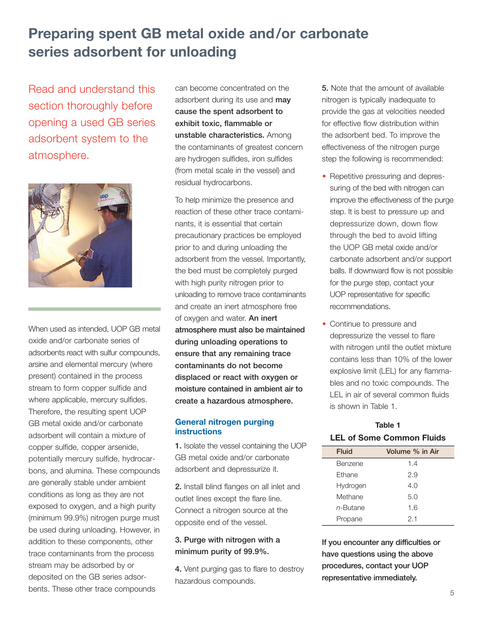## **Preparing spent GB metal oxide and/or carbonate series adsorbent for unloading**

Read and understand this section thoroughly before opening a used GB series adsorbent system to the atmosphere.



When used as intended, UOP GB metal oxide and/or carbonate series of adsorbents react with sulfur compounds, arsine and elemental mercury (where present) contained in the process stream to form copper sulfide and where applicable, mercury sulfides. Therefore, the resulting spent UOP GB metal oxide and/or carbonate adsorbent will contain a mixture of copper sulfide, copper arsenide, potentially mercury sulfide, hydrocarbons, and alumina. These compounds are generally stable under ambient conditions as long as they are not exposed to oxygen, and a high purity (minimum 99.9%) nitrogen purge must be used during unloading. However, in addition to these components, other trace contaminants from the process stream may be adsorbed by or deposited on the GB series adsorbents. These other trace compounds

can become concentrated on the adsorbent during its use and **may cause the spent adsorbent to exhibit toxic, flammable or unstable characteristics.** Among the contaminants of greatest concern are hydrogen sulfides, iron sulfides (from metal scale in the vessel) and residual hydrocarbons.

To help minimize the presence and reaction of these other trace contaminants, it is essential that certain precautionary practices be employed prior to and during unloading the adsorbent from the vessel. Importantly, the bed must be completely purged with high purity nitrogen prior to unloading to remove trace contaminants and create an inert atmosphere free of oxygen and water. **An inert atmosphere must also be maintained during unloading operations to ensure that any remaining trace contaminants do not become displaced or react with oxygen or moisture contained in ambient air to create a hazardous atmosphere.**

#### **General nitrogen purging instructions**

**1.** Isolate the vessel containing the UOP GB metal oxide and/or carbonate adsorbent and depressurize it.

**2.** Install blind flanges on all inlet and outlet lines except the flare line. Connect a nitrogen source at the opposite end of the vessel.

### **3. Purge with nitrogen with a minimum purity of 99.9%.**

**4.** Vent purging gas to flare to destroy hazardous compounds.

**5.** Note that the amount of available nitrogen is typically inadequate to provide the gas at velocities needed for effective flow distribution within the adsorbent bed. To improve the effectiveness of the nitrogen purge step the following is recommended:

- Repetitive pressuring and depressuring of the bed with nitrogen can improve the effectiveness of the purge step. It is best to pressure up and depressurize down, down flow through the bed to avoid lifting the UOP GB metal oxide and/or carbonate adsorbent and/or support balls. If downward flow is not possible for the purge step, contact your UOP representative for specific recommendations.
- Continue to pressure and depressurize the vessel to flare with nitrogen until the outlet mixture contains less than 10% of the lower explosive limit (LEL) for any flammables and no toxic compounds. The LEL in air of several common fluids is shown in Table 1.

## **Table 1 LEL of Some Common Fluids**

| Fluid    | Volume % in Air |  |  |
|----------|-----------------|--|--|
| Benzene  | 1.4             |  |  |
| Ethane   | 2.9             |  |  |
| Hydrogen | 4.0             |  |  |
| Methane  | 5.0             |  |  |
| n-Butane | 1.6             |  |  |
| Propane  | 2.1             |  |  |

**If you encounter any difficulties or have questions using the above procedures, contact your UOP representative immediately.**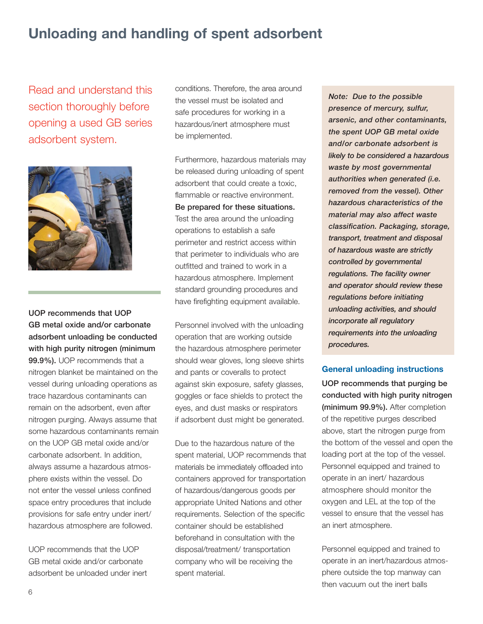## **Unloading and handling of spent adsorbent**

Read and understand this section thoroughly before opening a used GB series adsorbent system.



**UOP recommends that UOP GB metal oxide and/or carbonate adsorbent unloading be conducted with high purity nitrogen (minimum 99.9%).** UOP recommends that a nitrogen blanket be maintained on the vessel during unloading operations as trace hazardous contaminants can remain on the adsorbent, even after nitrogen purging. Always assume that some hazardous contaminants remain on the UOP GB metal oxide and/or carbonate adsorbent. In addition, always assume a hazardous atmosphere exists within the vessel. Do not enter the vessel unless confined space entry procedures that include provisions for safe entry under inert/ hazardous atmosphere are followed.

UOP recommends that the UOP GB metal oxide and/or carbonate adsorbent be unloaded under inert

conditions. Therefore, the area around the vessel must be isolated and safe procedures for working in a hazardous/inert atmosphere must be implemented.

Furthermore, hazardous materials may be released during unloading of spent adsorbent that could create a toxic, flammable or reactive environment. **Be prepared for these situations.** Test the area around the unloading operations to establish a safe perimeter and restrict access within that perimeter to individuals who are outfitted and trained to work in a hazardous atmosphere. Implement standard grounding procedures and have firefighting equipment available.

Personnel involved with the unloading operation that are working outside the hazardous atmosphere perimeter should wear gloves, long sleeve shirts and pants or coveralls to protect against skin exposure, safety glasses, goggles or face shields to protect the eyes, and dust masks or respirators if adsorbent dust might be generated.

Due to the hazardous nature of the spent material, UOP recommends that materials be immediately offloaded into containers approved for transportation of hazardous/dangerous goods per appropriate United Nations and other requirements. Selection of the specific container should be established beforehand in consultation with the disposal/treatment/ transportation company who will be receiving the spent material.

*Note: Due to the possible presence of mercury, sulfur, arsenic, and other contaminants, the spent UOP GB metal oxide and/or carbonate adsorbent is likely to be considered a hazardous waste by most governmental authorities when generated (i.e. removed from the vessel). Other hazardous characteristics of the material may also affect waste classification. Packaging, storage, transport, treatment and disposal of hazardous waste are strictly controlled by governmental regulations. The facility owner and operator should review these regulations before initiating unloading activities, and should incorporate all regulatory requirements into the unloading procedures.*

#### **General unloading instructions**

**UOP recommends that purging be conducted with high purity nitrogen (minimum 99.9%).** After completion of the repetitive purges described above, start the nitrogen purge from the bottom of the vessel and open the loading port at the top of the vessel. Personnel equipped and trained to operate in an inert/ hazardous atmosphere should monitor the oxygen and LEL at the top of the vessel to ensure that the vessel has an inert atmosphere.

Personnel equipped and trained to operate in an inert/hazardous atmosphere outside the top manway can then vacuum out the inert balls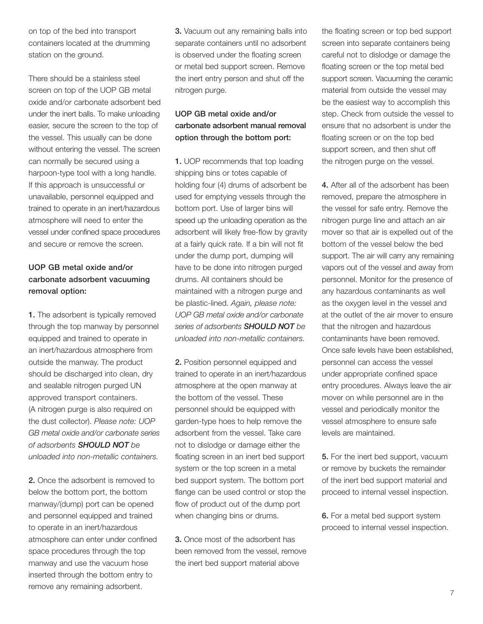on top of the bed into transport containers located at the drumming station on the ground.

There should be a stainless steel screen on top of the UOP GB metal oxide and/or carbonate adsorbent bed under the inert balls. To make unloading easier, secure the screen to the top of the vessel. This usually can be done without entering the vessel. The screen can normally be secured using a harpoon-type tool with a long handle. If this approach is unsuccessful or unavailable, personnel equipped and trained to operate in an inert/hazardous atmosphere will need to enter the vessel under confined space procedures and secure or remove the screen.

## **UOP GB metal oxide and/or carbonate adsorbent vacuuming removal option:**

**1.** The adsorbent is typically removed through the top manway by personnel equipped and trained to operate in an inert/hazardous atmosphere from outside the manway. The product should be discharged into clean, dry and sealable nitrogen purged UN approved transport containers. (A nitrogen purge is also required on the dust collector). *Please note: UOP GB metal oxide and/or carbonate series of adsorbents SHOULD NOT be unloaded into non-metallic containers.*

**2.** Once the adsorbent is removed to below the bottom port, the bottom manway/(dump) port can be opened and personnel equipped and trained to operate in an inert/hazardous atmosphere can enter under confined space procedures through the top manway and use the vacuum hose inserted through the bottom entry to remove any remaining adsorbent.

**3.** Vacuum out any remaining balls into separate containers until no adsorbent is observed under the floating screen or metal bed support screen. Remove the inert entry person and shut off the nitrogen purge.

## **UOP GB metal oxide and/or carbonate adsorbent manual removal option through the bottom port:**

**1.** UOP recommends that top loading shipping bins or totes capable of holding four (4) drums of adsorbent be used for emptying vessels through the bottom port. Use of larger bins will speed up the unloading operation as the adsorbent will likely free-flow by gravity at a fairly quick rate. If a bin will not fit under the dump port, dumping will have to be done into nitrogen purged drums. All containers should be maintained with a nitrogen purge and be plastic-lined. *Again, please note: UOP GB metal oxide and/or carbonate series of adsorbents SHOULD NOT be unloaded into non-metallic containers.* 

**2.** Position personnel equipped and trained to operate in an inert/hazardous atmosphere at the open manway at the bottom of the vessel. These personnel should be equipped with garden-type hoes to help remove the adsorbent from the vessel. Take care not to dislodge or damage either the floating screen in an inert bed support system or the top screen in a metal bed support system. The bottom port flange can be used control or stop the flow of product out of the dump port when changing bins or drums.

**3.** Once most of the adsorbent has been removed from the vessel, remove the inert bed support material above

the floating screen or top bed support screen into separate containers being careful not to dislodge or damage the floating screen or the top metal bed support screen. Vacuuming the ceramic material from outside the vessel may be the easiest way to accomplish this step. Check from outside the vessel to ensure that no adsorbent is under the floating screen or on the top bed support screen, and then shut off the nitrogen purge on the vessel.

**4.** After all of the adsorbent has been removed, prepare the atmosphere in the vessel for safe entry. Remove the nitrogen purge line and attach an air mover so that air is expelled out of the bottom of the vessel below the bed support. The air will carry any remaining vapors out of the vessel and away from personnel. Monitor for the presence of any hazardous contaminants as well as the oxygen level in the vessel and at the outlet of the air mover to ensure that the nitrogen and hazardous contaminants have been removed. Once safe levels have been established, personnel can access the vessel under appropriate confined space entry procedures. Always leave the air mover on while personnel are in the vessel and periodically monitor the vessel atmosphere to ensure safe levels are maintained.

**5.** For the inert bed support, vacuum or remove by buckets the remainder of the inert bed support material and proceed to internal vessel inspection.

**6.** For a metal bed support system proceed to internal vessel inspection.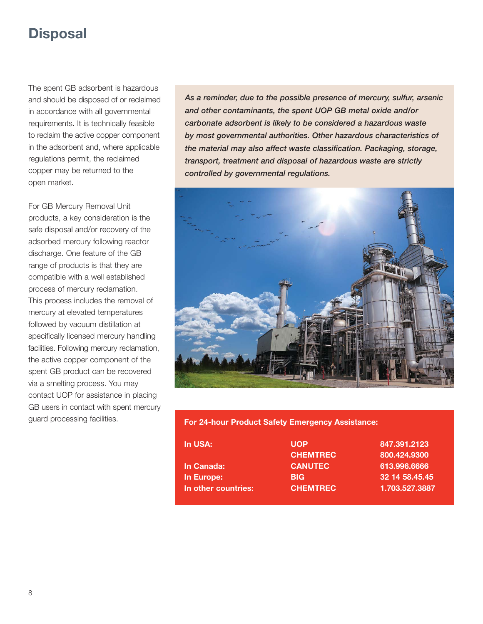## **Disposal**

The spent GB adsorbent is hazardous and should be disposed of or reclaimed in accordance with all governmental requirements. It is technically feasible to reclaim the active copper component in the adsorbent and, where applicable regulations permit, the reclaimed copper may be returned to the open market.

For GB Mercury Removal Unit products, a key consideration is the safe disposal and/or recovery of the adsorbed mercury following reactor discharge. One feature of the GB range of products is that they are compatible with a well established process of mercury reclamation. This process includes the removal of mercury at elevated temperatures followed by vacuum distillation at specifically licensed mercury handling facilities. Following mercury reclamation, the active copper component of the spent GB product can be recovered via a smelting process. You may contact UOP for assistance in placing GB users in contact with spent mercury guard processing facilities.

*As a reminder, due to the possible presence of mercury, sulfur, arsenic and other contaminants, the spent UOP GB metal oxide and/or carbonate adsorbent is likely to be considered a hazardous waste by most governmental authorities. Other hazardous characteristics of the material may also affect waste classification. Packaging, storage, transport, treatment and disposal of hazardous waste are strictly controlled by governmental regulations.*



#### **For 24-hour Product Safety Emergency Assistance:**

| In USA:             | <b>UOP</b>      | 847.391.2123   |
|---------------------|-----------------|----------------|
|                     | <b>CHEMTREC</b> | 800.424.9300   |
| In Canada:          | <b>CANUTEC</b>  | 613.996.6666   |
| In Europe:          | <b>BIG</b>      | 32 14 58.45.45 |
| In other countries: | <b>CHEMTREC</b> | 1.703.527.3887 |